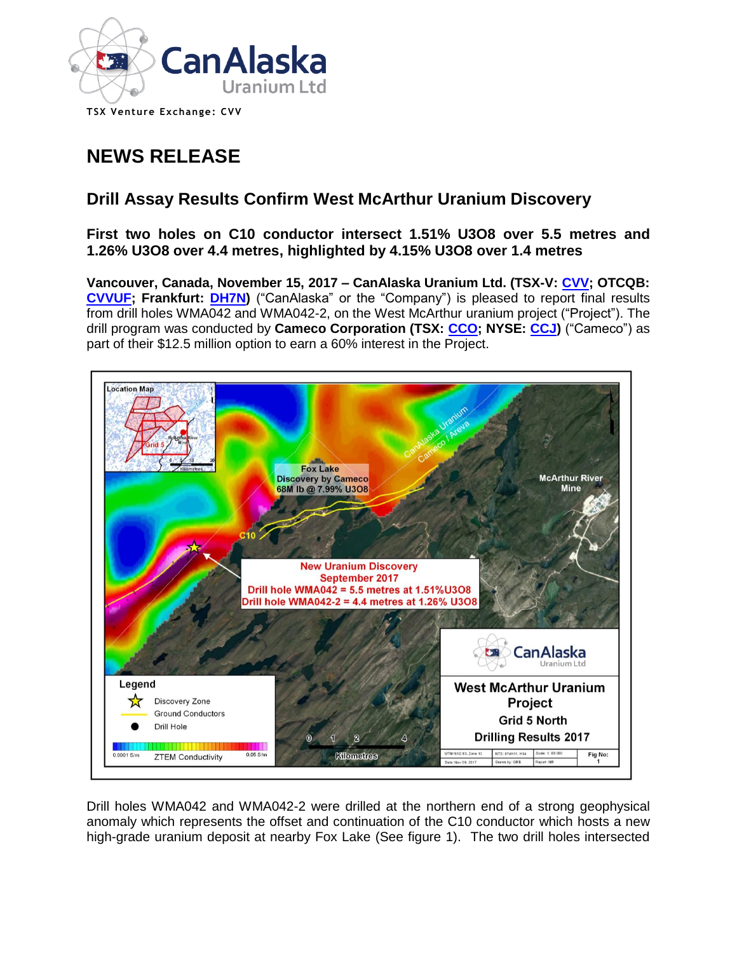

**TSX Venture Exchange: CVV** 

# **NEWS RELEASE**

## **Drill Assay Results Confirm West McArthur Uranium Discovery**

## **First two holes on C10 conductor intersect 1.51% U3O8 over 5.5 metres and 1.26% U3O8 over 4.4 metres, highlighted by 4.15% U3O8 over 1.4 metres**

**Vancouver, Canada, November 15, 2017 – CanAlaska Uranium Ltd. (TSX-V: [CVV;](http://www.canalaska.com/s/StockInfo.asp) OTCQB: [CVVUF;](http://www.canalaska.com/s/StockInfo.asp) Frankfurt: [DH7N\)](http://www.canalaska.com/s/StockInfo.asp)** ("CanAlaska" or the "Company") is pleased to report final results from drill holes WMA042 and WMA042-2, on the West McArthur uranium project ("Project"). The drill program was conducted by **Cameco Corporation (TSX: [CCO;](https://www.google.ca/finance?cid=675079) NYSE: [CCJ\)](https://www.google.ca/finance?q=NYSE%3ACCJ&ei=TB6-VtHHF8OAiwL0pbHwCw)** ("Cameco") as part of their \$12.5 million option to earn a 60% interest in the Project.



Drill holes WMA042 and WMA042-2 were drilled at the northern end of a strong geophysical anomaly which represents the offset and continuation of the C10 conductor which hosts a new high-grade uranium deposit at nearby Fox Lake (See figure 1). The two drill holes intersected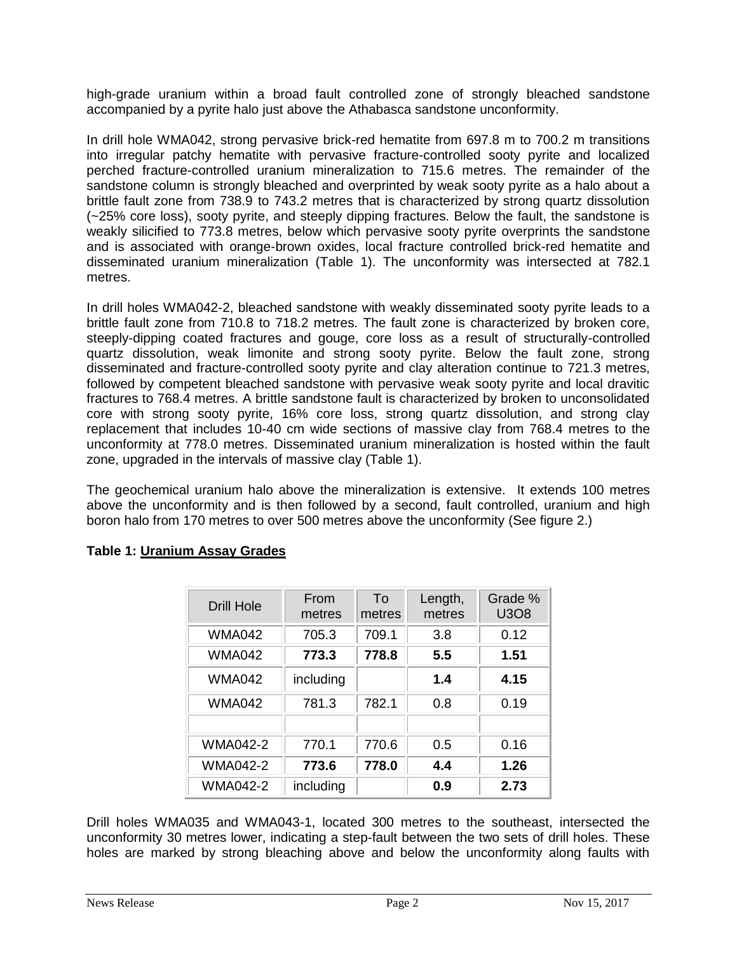high-grade uranium within a broad fault controlled zone of strongly bleached sandstone accompanied by a pyrite halo just above the Athabasca sandstone unconformity.

In drill hole WMA042, strong pervasive brick-red hematite from 697.8 m to 700.2 m transitions into irregular patchy hematite with pervasive fracture-controlled sooty pyrite and localized perched fracture-controlled uranium mineralization to 715.6 metres. The remainder of the sandstone column is strongly bleached and overprinted by weak sooty pyrite as a halo about a brittle fault zone from 738.9 to 743.2 metres that is characterized by strong quartz dissolution (~25% core loss), sooty pyrite, and steeply dipping fractures. Below the fault, the sandstone is weakly silicified to 773.8 metres, below which pervasive sooty pyrite overprints the sandstone and is associated with orange-brown oxides, local fracture controlled brick-red hematite and disseminated uranium mineralization (Table 1). The unconformity was intersected at 782.1 metres.

In drill holes WMA042-2, bleached sandstone with weakly disseminated sooty pyrite leads to a brittle fault zone from 710.8 to 718.2 metres. The fault zone is characterized by broken core, steeply-dipping coated fractures and gouge, core loss as a result of structurally-controlled quartz dissolution, weak limonite and strong sooty pyrite. Below the fault zone, strong disseminated and fracture-controlled sooty pyrite and clay alteration continue to 721.3 metres, followed by competent bleached sandstone with pervasive weak sooty pyrite and local dravitic fractures to 768.4 metres. A brittle sandstone fault is characterized by broken to unconsolidated core with strong sooty pyrite, 16% core loss, strong quartz dissolution, and strong clay replacement that includes 10-40 cm wide sections of massive clay from 768.4 metres to the unconformity at 778.0 metres. Disseminated uranium mineralization is hosted within the fault zone, upgraded in the intervals of massive clay (Table 1).

The geochemical uranium halo above the mineralization is extensive. It extends 100 metres above the unconformity and is then followed by a second, fault controlled, uranium and high boron halo from 170 metres to over 500 metres above the unconformity (See figure 2.)

| <b>Drill Hole</b> | From<br>metres | To<br>metres | Length,<br>metres | Grade %<br><b>U3O8</b> |
|-------------------|----------------|--------------|-------------------|------------------------|
| <b>WMA042</b>     | 705.3          | 709.1        | 3.8               | 0.12                   |
| <b>WMA042</b>     | 773.3          | 778.8        | 5.5               | 1.51                   |
| WMA042            | including      |              | 1.4               | 4.15                   |
| WMA042            | 781.3          | 782.1        | 0.8               | 0.19                   |
|                   |                |              |                   |                        |
| <b>WMA042-2</b>   | 770.1          | 770.6        | 0.5               | 0.16                   |
| <b>WMA042-2</b>   | 773.6          | 778.0        | 4.4               | 1.26                   |
| <b>WMA042-2</b>   | including      |              | 0.9               | 2.73                   |

## **Table 1: Uranium Assay Grades**

Drill holes WMA035 and WMA043-1, located 300 metres to the southeast, intersected the unconformity 30 metres lower, indicating a step-fault between the two sets of drill holes. These holes are marked by strong bleaching above and below the unconformity along faults with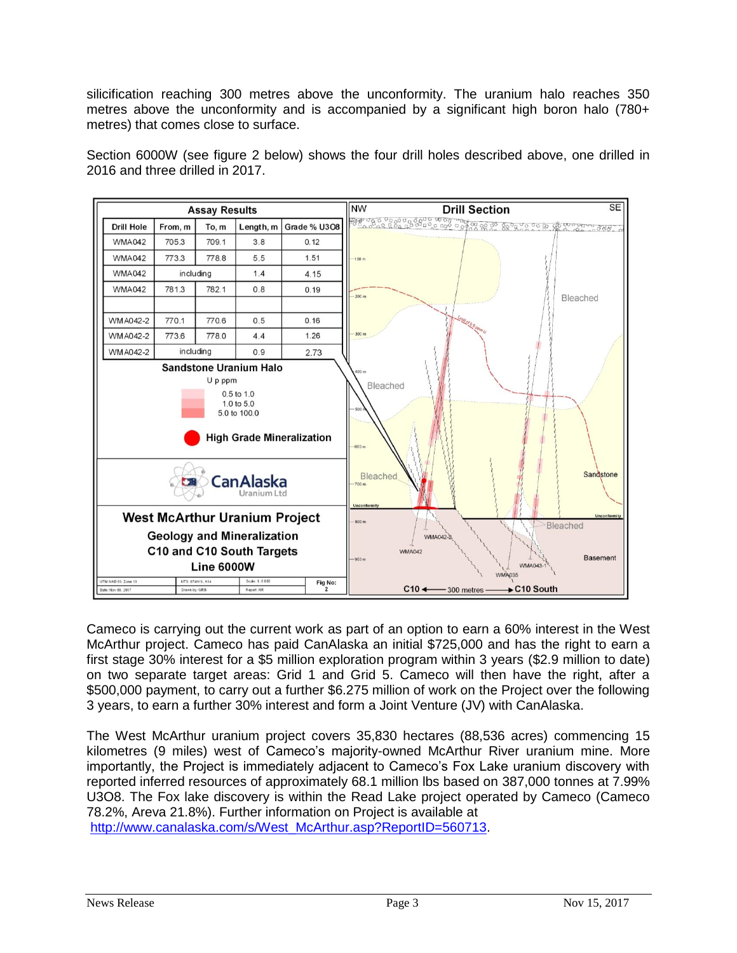silicification reaching 300 metres above the unconformity. The uranium halo reaches 350 metres above the unconformity and is accompanied by a significant high boron halo (780+ metres) that comes close to surface.

Section 6000W (see figure 2 below) shows the four drill holes described above, one drilled in 2016 and three drilled in 2017.



Cameco is carrying out the current work as part of an option to earn a 60% interest in the West McArthur project. Cameco has paid CanAlaska an initial \$725,000 and has the right to earn a first stage 30% interest for a \$5 million exploration program within 3 years (\$2.9 million to date) on two separate target areas: Grid 1 and Grid 5. Cameco will then have the right, after a \$500,000 payment, to carry out a further \$6.275 million of work on the Project over the following 3 years, to earn a further 30% interest and form a Joint Venture (JV) with CanAlaska.

The West McArthur uranium project covers 35,830 hectares (88,536 acres) commencing 15 kilometres (9 miles) west of Cameco's majority-owned McArthur River uranium mine. More importantly, the Project is immediately adjacent to Cameco's Fox Lake uranium discovery with reported inferred resources of approximately 68.1 million lbs based on 387,000 tonnes at 7.99% U3O8. The Fox lake discovery is within the Read Lake project operated by Cameco (Cameco 78.2%, Areva 21.8%). Further information on Project is available at

[http://www.canalaska.com/s/West\\_McArthur.asp?ReportID=560713.](http://www.canalaska.com/s/West_McArthur.asp?ReportID=560713)